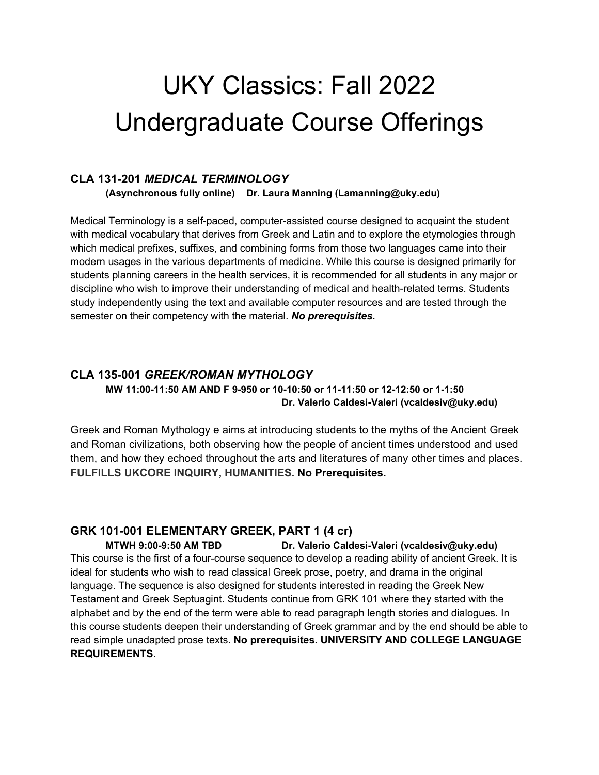# UKY Classics: Fall 2022 Undergraduate Course Offerings

#### **CLA 131-201** *MEDICAL TERMINOLOGY*

**(Asynchronous fully online) Dr. Laura Manning (Lamanning@uky.edu)**

Medical Terminology is a self-paced, computer-assisted course designed to acquaint the student with medical vocabulary that derives from Greek and Latin and to explore the etymologies through which medical prefixes, suffixes, and combining forms from those two languages came into their modern usages in the various departments of medicine. While this course is designed primarily for students planning careers in the health services, it is recommended for all students in any major or discipline who wish to improve their understanding of medical and health-related terms. Students study independently using the text and available computer resources and are tested through the semester on their competency with the material. *No prerequisites.*

## **CLA 135-001** *GREEK/ROMAN MYTHOLOGY* **MW 11:00-11:50 AM AND F 9-950 or 10-10:50 or 11-11:50 or 12-12:50 or 1-1:50 Dr. Valerio Caldesi-Valeri (vcaldesiv@uky.edu)**

Greek and Roman Mythology e aims at introducing students to the myths of the Ancient Greek and Roman civilizations, both observing how the people of ancient times understood and used them, and how they echoed throughout the arts and literatures of many other times and places. **FULFILLS UKCORE INQUIRY, HUMANITIES. No Prerequisites.**

### **GRK 101-001 ELEMENTARY GREEK, PART 1 (4 cr)**

**MTWH 9:00-9:50 AM TBD Dr. Valerio Caldesi-Valeri (vcaldesiv@uky.edu)** This course is the first of a four-course sequence to develop a reading ability of ancient Greek. It is ideal for students who wish to read classical Greek prose, poetry, and drama in the original language. The sequence is also designed for students interested in reading the Greek New Testament and Greek Septuagint. Students continue from GRK 101 where they started with the alphabet and by the end of the term were able to read paragraph length stories and dialogues. In this course students deepen their understanding of Greek grammar and by the end should be able to read simple unadapted prose texts. **No prerequisites. UNIVERSITY AND COLLEGE LANGUAGE REQUIREMENTS.**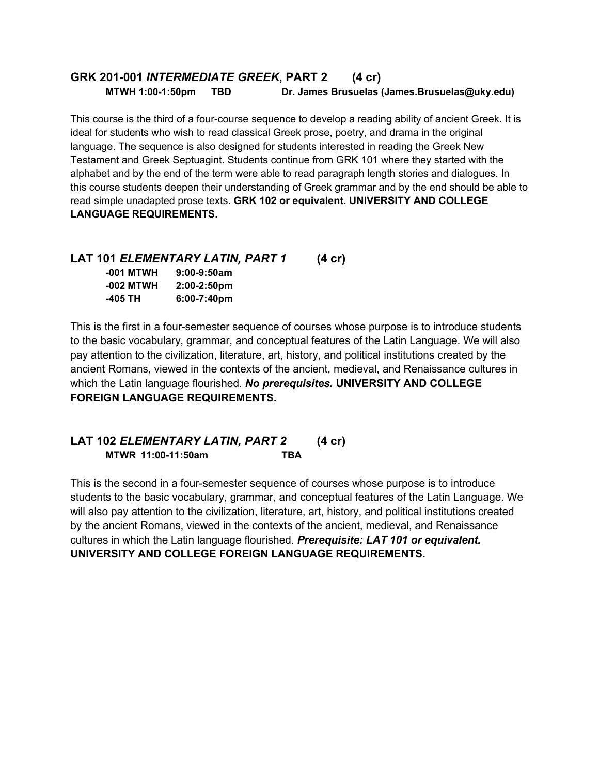### **GRK 201-001** *INTERMEDIATE GREEK***, PART 2 (4 cr) MTWH 1:00-1:50pm TBD Dr. James Brusuelas (James.Brusuelas@uky.edu)**

This course is the third of a four-course sequence to develop a reading ability of ancient Greek. It is ideal for students who wish to read classical Greek prose, poetry, and drama in the original language. The sequence is also designed for students interested in reading the Greek New Testament and Greek Septuagint. Students continue from GRK 101 where they started with the alphabet and by the end of the term were able to read paragraph length stories and dialogues. In this course students deepen their understanding of Greek grammar and by the end should be able to read simple unadapted prose texts. **GRK 102 or equivalent. UNIVERSITY AND COLLEGE LANGUAGE REQUIREMENTS.**

### **LAT 101** *ELEMENTARY LATIN, PART 1* **(4 cr)**

| -001 MTWH | 9:00-9:50am    |
|-----------|----------------|
| -002 MTWH | $2:00-2:50$ pm |
| -405 TH   | 6:00-7:40pm    |

This is the first in a four-semester sequence of courses whose purpose is to introduce students to the basic vocabulary, grammar, and conceptual features of the Latin Language. We will also pay attention to the civilization, literature, art, history, and political institutions created by the ancient Romans, viewed in the contexts of the ancient, medieval, and Renaissance cultures in which the Latin language flourished. *No prerequisites.* **UNIVERSITY AND COLLEGE FOREIGN LANGUAGE REQUIREMENTS.**

## **LAT 102** *ELEMENTARY LATIN, PART 2* **(4 cr) MTWR 11:00-11:50am TBA**

This is the second in a four-semester sequence of courses whose purpose is to introduce students to the basic vocabulary, grammar, and conceptual features of the Latin Language. We will also pay attention to the civilization, literature, art, history, and political institutions created by the ancient Romans, viewed in the contexts of the ancient, medieval, and Renaissance cultures in which the Latin language flourished. *Prerequisite: LAT 101 or equivalent.* **UNIVERSITY AND COLLEGE FOREIGN LANGUAGE REQUIREMENTS.**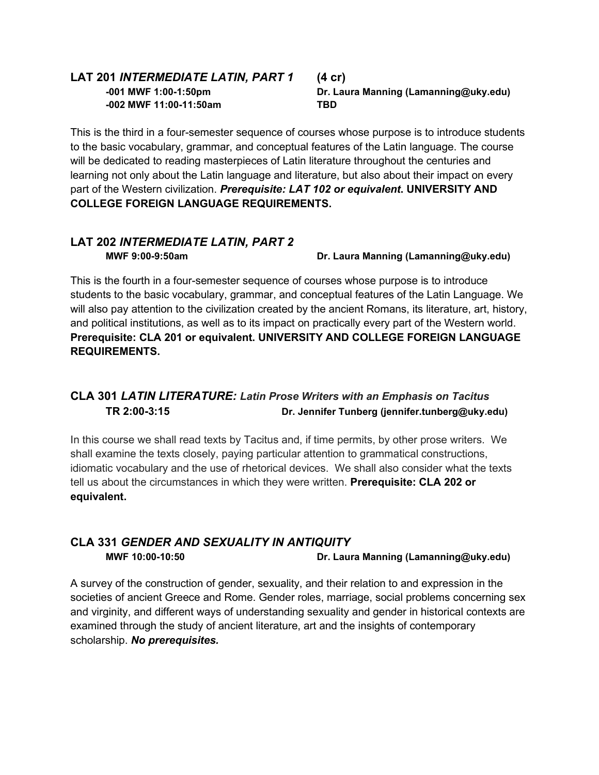## **LAT 201** *INTERMEDIATE LATIN, PART 1* **(4 cr) -002 MWF 11:00-11:50am TBD**

**-001 MWF 1:00-1:50pm Dr. Laura Manning (Lamanning@uky.edu)**

This is the third in a four-semester sequence of courses whose purpose is to introduce students to the basic vocabulary, grammar, and conceptual features of the Latin language. The course will be dedicated to reading masterpieces of Latin literature throughout the centuries and learning not only about the Latin language and literature, but also about their impact on every part of the Western civilization. *Prerequisite: LAT 102 or equivalent***. UNIVERSITY AND COLLEGE FOREIGN LANGUAGE REQUIREMENTS.**

## **LAT 202** *INTERMEDIATE LATIN, PART 2*

**MWF 9:00-9:50am Came Communist Communist Communist Communist Dr. Laura Manning (Lamanning @uky.edu)** 

This is the fourth in a four-semester sequence of courses whose purpose is to introduce students to the basic vocabulary, grammar, and conceptual features of the Latin Language. We will also pay attention to the civilization created by the ancient Romans, its literature, art, history, and political institutions, as well as to its impact on practically every part of the Western world. **Prerequisite: CLA 201 or equivalent. UNIVERSITY AND COLLEGE FOREIGN LANGUAGE REQUIREMENTS.**

## **CLA 301** *LATIN LITERATURE: Latin Prose Writers with an Emphasis on Tacitus* **TR 2:00-3:15 Dr. Jennifer Tunberg (jennifer.tunberg@uky.edu)**

In this course we shall read texts by Tacitus and, if time permits, by other prose writers. We shall examine the texts closely, paying particular attention to grammatical constructions, idiomatic vocabulary and the use of rhetorical devices. We shall also consider what the texts tell us about the circumstances in which they were written. **Prerequisite: CLA 202 or equivalent.**

## **CLA 331** *GENDER AND SEXUALITY IN ANTIQUITY* **MWF 10:00-10:50 Dr. Laura Manning (Lamanning@uky.edu)**

A survey of the construction of gender, sexuality, and their relation to and expression in the societies of ancient Greece and Rome. Gender roles, marriage, social problems concerning sex and virginity, and different ways of understanding sexuality and gender in historical contexts are examined through the study of ancient literature, art and the insights of contemporary scholarship. *No prerequisites.*